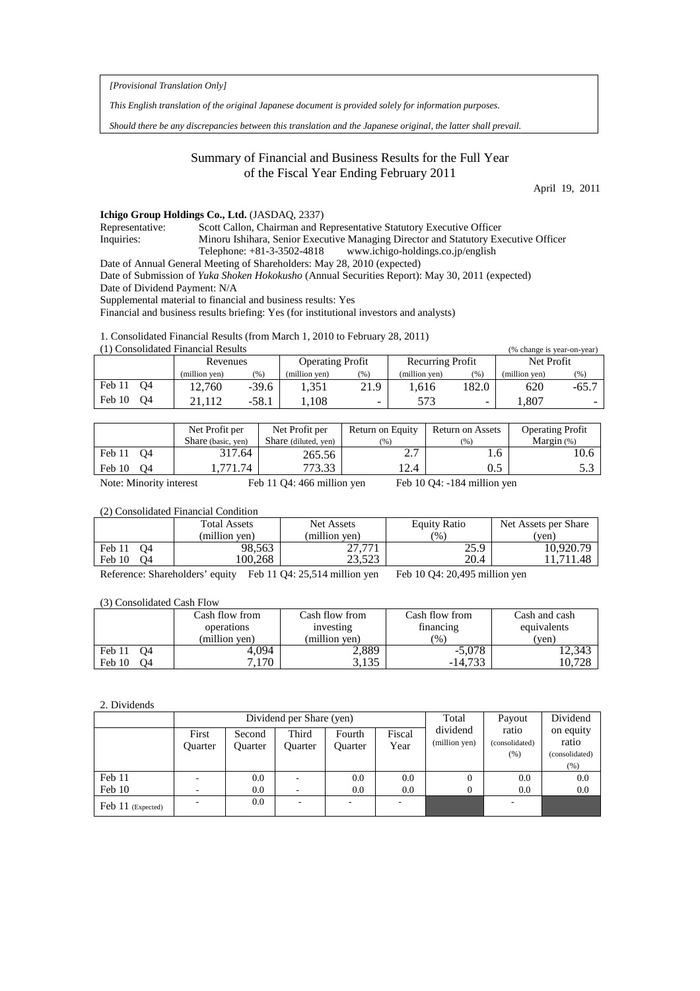*[Provisional Translation Only]*

*This English translation of the original Japanese document is provided solely for information purposes.*

*Should there be any discrepancies between this translation and the Japanese original, the latter shall prevail.*

# Summary of Financial and Business Results for the Full Year of the Fiscal Year Ending February 2011

April 19, 2011

## **Ichigo Group Holdings Co., Ltd.** (JASDAQ, 2337)

Representative: Scott Callon, Chairman and Representative Statutory Executive Officer Inquiries: Minoru Ishihara, Senior Executive Managing Director and Statutory Executive Officer Telephone: +81-3-3502-4818 www.ichigo-holdings.co.jp/english

Date of Annual General Meeting of Shareholders: May 28, 2010 (expected)

Date of Submission of *Yuka Shoken Hokokusho* (Annual Securities Report): May 30, 2011 (expected)

Date of Dividend Payment: N/A

Supplemental material to financial and business results: Yes

Financial and business results briefing: Yes (for institutional investors and analysts)

1. Consolidated Financial Results (from March 1, 2010 to February 28, 2011)

| (1) Consolidated Financial Results<br>(% change is year-on-year) |               |         |                         |      |                  |                          |               |         |  |
|------------------------------------------------------------------|---------------|---------|-------------------------|------|------------------|--------------------------|---------------|---------|--|
|                                                                  | Revenues      |         | <b>Operating Profit</b> |      | Recurring Profit |                          | Net Profit    |         |  |
|                                                                  | (million yen) | (% )    | (million yen)           | (% ) | (million yen)    | (% )                     | (million yen) | (96)    |  |
| Feb 11<br>O4                                                     | 12.760        | $-39.6$ | 1.351                   | 21.9 | .616             | 182.0                    | 620           | $-65.7$ |  |
| Feb 10<br>O4                                                     | .112          | $-58.1$ | 1.108                   |      | 573              | $\overline{\phantom{0}}$ | .807          | $\sim$  |  |

|              | Net Profit per<br>Share (basic, yen) | Net Profit per<br>Share (diluted, yen) | Return on Equity<br>(96) | Return on Assets<br>(96) | <b>Operating Profit</b><br>Margin $(%)$ |
|--------------|--------------------------------------|----------------------------------------|--------------------------|--------------------------|-----------------------------------------|
| Feb 11<br>04 | 317.64                               | 265.56                                 | ، ، ،                    | .0                       | 10.6                                    |
| Feb 10<br>O4 | 771.74                               |                                        | 12.4                     | U.J                      | J.J                                     |

Note: Minority interest Feb 11 Q4: 466 million yen Feb 10 Q4: -184 million yen

## (2) Consolidated Financial Condition

|                          | <b>Total Assets</b> | Net Assets    | <b>Equity Ratio</b> | Net Assets per Share |  |
|--------------------------|---------------------|---------------|---------------------|----------------------|--|
|                          | (million ven)       | (million ven) | $\frac{9}{6}$       | (ven)                |  |
| Feb 11<br>04             | 98.563              | 27.771        | 25.9                | 10.920.79            |  |
| Feb 10<br>O <sub>4</sub> | 100.268             | 23.523        | 20.4                | 11.711.48            |  |

Reference: Shareholders' equity Feb 11 Q4: 25,514 million yen Feb 10 Q4: 20,495 million yen

(3) Consolidated Cash Flow

|              | Cash flow from | Cash flow from | Cash flow from    | Cash and cash |  |
|--------------|----------------|----------------|-------------------|---------------|--|
|              | operations     | investing      | <i>t</i> inancing | equivalents   |  |
|              | (million ven)  | (million ven)  | (%)               | (ven)         |  |
| Feb 11<br>O4 | 4.094          | 2,889          | $-5.078$          | 12,343        |  |
| Feb 10<br>Ο4 | .170           | 2125           | $-14.733$         | 10.728        |  |

### 2. Dividends

|                   |                  |                          | Dividend per Share (yen) | Total             | Payout         | Dividend                  |                                   |                                      |
|-------------------|------------------|--------------------------|--------------------------|-------------------|----------------|---------------------------|-----------------------------------|--------------------------------------|
|                   | First<br>Ouarter | Second<br><b>Ouarter</b> | Third<br>Ouarter         | Fourth<br>Ouarter | Fiscal<br>Year | dividend<br>(million yen) | ratio<br>(consolidated)<br>$(\%)$ | on equity<br>ratio<br>(consolidated) |
|                   |                  |                          |                          |                   |                |                           |                                   | (%)                                  |
| Feb 11            |                  | 0.0                      |                          | 0.0               | 0.0            | $\Omega$                  | 0.0                               | 0.0                                  |
| Feb 10            |                  | 0.0                      |                          | 0.0               | 0.0            | $\Omega$                  | 0.0                               | 0.0                                  |
| Feb 11 (Expected) |                  | 0.0                      | ۰                        |                   |                |                           |                                   |                                      |